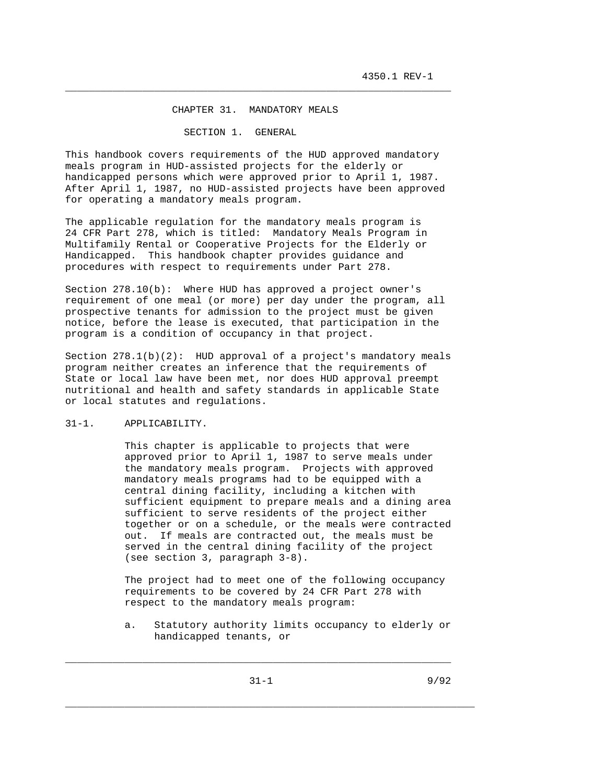### CHAPTER 31. MANDATORY MEALS

\_\_\_\_\_\_\_\_\_\_\_\_\_\_\_\_\_\_\_\_\_\_\_\_\_\_\_\_\_\_\_\_\_\_\_\_\_\_\_\_\_\_\_\_\_\_\_\_\_\_\_\_\_\_\_\_\_\_\_\_\_\_\_\_\_

#### SECTION 1. GENERAL

This handbook covers requirements of the HUD approved mandatory meals program in HUD-assisted projects for the elderly or handicapped persons which were approved prior to April 1, 1987. After April 1, 1987, no HUD-assisted projects have been approved for operating a mandatory meals program.

The applicable regulation for the mandatory meals program is 24 CFR Part 278, which is titled: Mandatory Meals Program in Multifamily Rental or Cooperative Projects for the Elderly or Handicapped. This handbook chapter provides guidance and procedures with respect to requirements under Part 278.

Section 278.10(b): Where HUD has approved a project owner's requirement of one meal (or more) per day under the program, all prospective tenants for admission to the project must be given notice, before the lease is executed, that participation in the program is a condition of occupancy in that project.

Section 278.1(b)(2): HUD approval of a project's mandatory meals program neither creates an inference that the requirements of State or local law have been met, nor does HUD approval preempt nutritional and health and safety standards in applicable State or local statutes and regulations.

# 31-1. APPLICABILITY.

 This chapter is applicable to projects that were approved prior to April 1, 1987 to serve meals under the mandatory meals program. Projects with approved mandatory meals programs had to be equipped with a central dining facility, including a kitchen with sufficient equipment to prepare meals and a dining area sufficient to serve residents of the project either together or on a schedule, or the meals were contracted out. If meals are contracted out, the meals must be served in the central dining facility of the project (see section 3, paragraph 3-8).

 The project had to meet one of the following occupancy requirements to be covered by 24 CFR Part 278 with respect to the mandatory meals program:

 a. Statutory authority limits occupancy to elderly or handicapped tenants, or

\_\_\_\_\_\_\_\_\_\_\_\_\_\_\_\_\_\_\_\_\_\_\_\_\_\_\_\_\_\_\_\_\_\_\_\_\_\_\_\_\_\_\_\_\_\_\_\_\_\_\_\_\_\_\_\_\_\_\_\_\_\_\_\_\_\_\_\_\_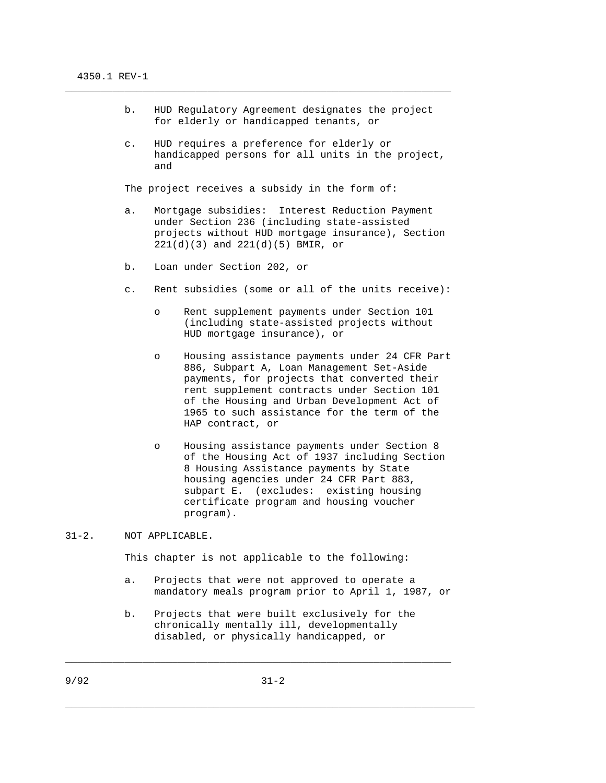- b. HUD Regulatory Agreement designates the project for elderly or handicapped tenants, or
- c. HUD requires a preference for elderly or handicapped persons for all units in the project, and

The project receives a subsidy in the form of:

\_\_\_\_\_\_\_\_\_\_\_\_\_\_\_\_\_\_\_\_\_\_\_\_\_\_\_\_\_\_\_\_\_\_\_\_\_\_\_\_\_\_\_\_\_\_\_\_\_\_\_\_\_\_\_\_\_\_\_\_\_\_\_\_\_

- a. Mortgage subsidies: Interest Reduction Payment under Section 236 (including state-assisted projects without HUD mortgage insurance), Section 221(d)(3) and 221(d)(5) BMIR, or
- b. Loan under Section 202, or
- c. Rent subsidies (some or all of the units receive):
	- o Rent supplement payments under Section 101 (including state-assisted projects without HUD mortgage insurance), or
	- o Housing assistance payments under 24 CFR Part 886, Subpart A, Loan Management Set-Aside payments, for projects that converted their rent supplement contracts under Section 101 of the Housing and Urban Development Act of 1965 to such assistance for the term of the HAP contract, or
	- o Housing assistance payments under Section 8 of the Housing Act of 1937 including Section 8 Housing Assistance payments by State housing agencies under 24 CFR Part 883, subpart E. (excludes: existing housing certificate program and housing voucher program).

## 31-2. NOT APPLICABLE.

This chapter is not applicable to the following:

- a. Projects that were not approved to operate a mandatory meals program prior to April 1, 1987, or
- b. Projects that were built exclusively for the chronically mentally ill, developmentally disabled, or physically handicapped, or

\_\_\_\_\_\_\_\_\_\_\_\_\_\_\_\_\_\_\_\_\_\_\_\_\_\_\_\_\_\_\_\_\_\_\_\_\_\_\_\_\_\_\_\_\_\_\_\_\_\_\_\_\_\_\_\_\_\_\_\_\_\_\_\_\_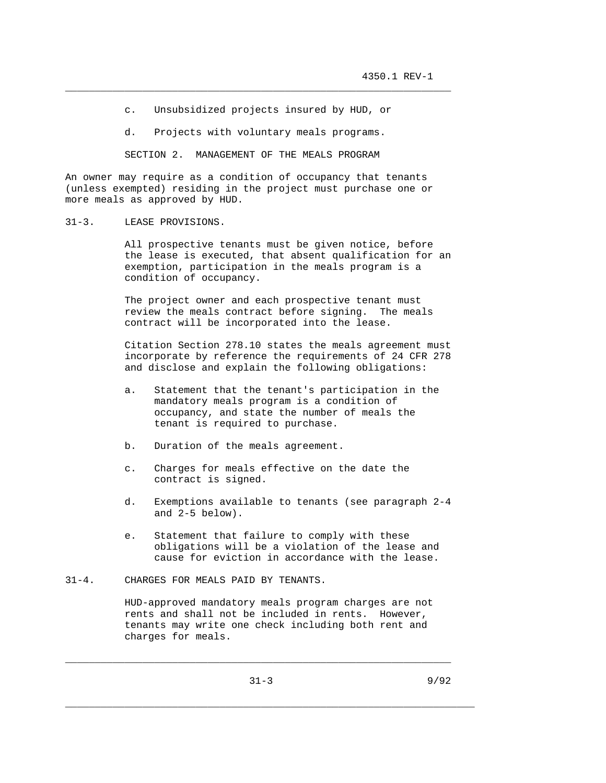c. Unsubsidized projects insured by HUD, or

\_\_\_\_\_\_\_\_\_\_\_\_\_\_\_\_\_\_\_\_\_\_\_\_\_\_\_\_\_\_\_\_\_\_\_\_\_\_\_\_\_\_\_\_\_\_\_\_\_\_\_\_\_\_\_\_\_\_\_\_\_\_\_\_\_

d. Projects with voluntary meals programs.

SECTION 2. MANAGEMENT OF THE MEALS PROGRAM

An owner may require as a condition of occupancy that tenants (unless exempted) residing in the project must purchase one or more meals as approved by HUD.

31-3. LEASE PROVISIONS.

 All prospective tenants must be given notice, before the lease is executed, that absent qualification for an exemption, participation in the meals program is a condition of occupancy.

 The project owner and each prospective tenant must review the meals contract before signing. The meals contract will be incorporated into the lease.

 Citation Section 278.10 states the meals agreement must incorporate by reference the requirements of 24 CFR 278 and disclose and explain the following obligations:

- a. Statement that the tenant's participation in the mandatory meals program is a condition of occupancy, and state the number of meals the tenant is required to purchase.
- b. Duration of the meals agreement.
- c. Charges for meals effective on the date the contract is signed.
- d. Exemptions available to tenants (see paragraph 2-4 and 2-5 below).
- e. Statement that failure to comply with these obligations will be a violation of the lease and cause for eviction in accordance with the lease.

## 31-4. CHARGES FOR MEALS PAID BY TENANTS.

 HUD-approved mandatory meals program charges are not rents and shall not be included in rents. However, tenants may write one check including both rent and charges for meals.

\_\_\_\_\_\_\_\_\_\_\_\_\_\_\_\_\_\_\_\_\_\_\_\_\_\_\_\_\_\_\_\_\_\_\_\_\_\_\_\_\_\_\_\_\_\_\_\_\_\_\_\_\_\_\_\_\_\_\_\_\_\_\_\_\_\_\_\_\_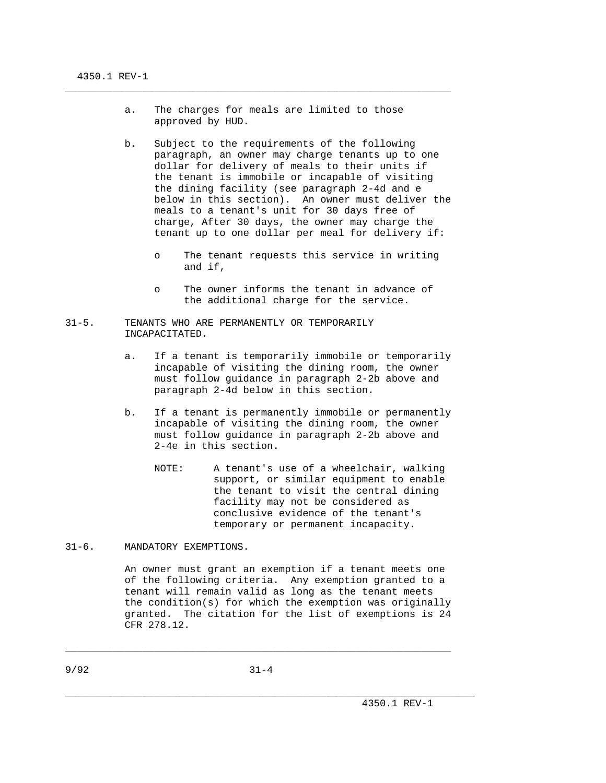a. The charges for meals are limited to those approved by HUD.

\_\_\_\_\_\_\_\_\_\_\_\_\_\_\_\_\_\_\_\_\_\_\_\_\_\_\_\_\_\_\_\_\_\_\_\_\_\_\_\_\_\_\_\_\_\_\_\_\_\_\_\_\_\_\_\_\_\_\_\_\_\_\_\_\_

- b. Subject to the requirements of the following paragraph, an owner may charge tenants up to one dollar for delivery of meals to their units if the tenant is immobile or incapable of visiting the dining facility (see paragraph 2-4d and e below in this section). An owner must deliver the meals to a tenant's unit for 30 days free of charge, After 30 days, the owner may charge the tenant up to one dollar per meal for delivery if:
	- o The tenant requests this service in writing and if,
	- o The owner informs the tenant in advance of the additional charge for the service.
- 31-5. TENANTS WHO ARE PERMANENTLY OR TEMPORARILY INCAPACITATED.
	- a. If a tenant is temporarily immobile or temporarily incapable of visiting the dining room, the owner must follow guidance in paragraph 2-2b above and paragraph 2-4d below in this section.
	- b. If a tenant is permanently immobile or permanently incapable of visiting the dining room, the owner must follow guidance in paragraph 2-2b above and 2-4e in this section.
		- NOTE: A tenant's use of a wheelchair, walking support, or similar equipment to enable the tenant to visit the central dining facility may not be considered as conclusive evidence of the tenant's temporary or permanent incapacity.

31-6. MANDATORY EXEMPTIONS.

 An owner must grant an exemption if a tenant meets one of the following criteria. Any exemption granted to a tenant will remain valid as long as the tenant meets the condition(s) for which the exemption was originally granted. The citation for the list of exemptions is 24 CFR 278.12.

9/92 31-4

\_\_\_\_\_\_\_\_\_\_\_\_\_\_\_\_\_\_\_\_\_\_\_\_\_\_\_\_\_\_\_\_\_\_\_\_\_\_\_\_\_\_\_\_\_\_\_\_\_\_\_\_\_\_\_\_\_\_\_\_\_\_\_\_\_\_\_\_\_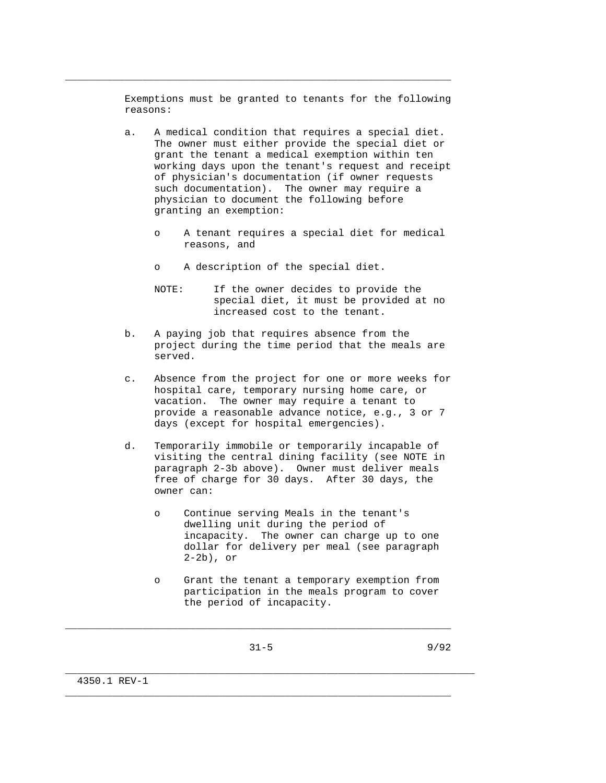Exemptions must be granted to tenants for the following reasons:

\_\_\_\_\_\_\_\_\_\_\_\_\_\_\_\_\_\_\_\_\_\_\_\_\_\_\_\_\_\_\_\_\_\_\_\_\_\_\_\_\_\_\_\_\_\_\_\_\_\_\_\_\_\_\_\_\_\_\_\_\_\_\_\_\_

- a. A medical condition that requires a special diet. The owner must either provide the special diet or grant the tenant a medical exemption within ten working days upon the tenant's request and receipt of physician's documentation (if owner requests such documentation). The owner may require a physician to document the following before granting an exemption:
	- o A tenant requires a special diet for medical reasons, and
	- o A description of the special diet.
	- NOTE: If the owner decides to provide the special diet, it must be provided at no increased cost to the tenant.
- b. A paying job that requires absence from the project during the time period that the meals are served.
- c. Absence from the project for one or more weeks for hospital care, temporary nursing home care, or vacation. The owner may require a tenant to provide a reasonable advance notice, e.g., 3 or 7 days (except for hospital emergencies).
- d. Temporarily immobile or temporarily incapable of visiting the central dining facility (see NOTE in paragraph 2-3b above). Owner must deliver meals free of charge for 30 days. After 30 days, the owner can:
	- o Continue serving Meals in the tenant's dwelling unit during the period of incapacity. The owner can charge up to one dollar for delivery per meal (see paragraph 2-2b), or
	- o Grant the tenant a temporary exemption from participation in the meals program to cover the period of incapacity.
		-

\_\_\_\_\_\_\_\_\_\_\_\_\_\_\_\_\_\_\_\_\_\_\_\_\_\_\_\_\_\_\_\_\_\_\_\_\_\_\_\_\_\_\_\_\_\_\_\_\_\_\_\_\_\_\_\_\_\_\_\_\_\_\_\_\_

\_\_\_\_\_\_\_\_\_\_\_\_\_\_\_\_\_\_\_\_\_\_\_\_\_\_\_\_\_\_\_\_\_\_\_\_\_\_\_\_\_\_\_\_\_\_\_\_\_\_\_\_\_\_\_\_\_\_\_\_\_\_\_\_\_\_\_\_\_

\_\_\_\_\_\_\_\_\_\_\_\_\_\_\_\_\_\_\_\_\_\_\_\_\_\_\_\_\_\_\_\_\_\_\_\_\_\_\_\_\_\_\_\_\_\_\_\_\_\_\_\_\_\_\_\_\_\_\_\_\_\_\_\_\_

4350.1 REV-1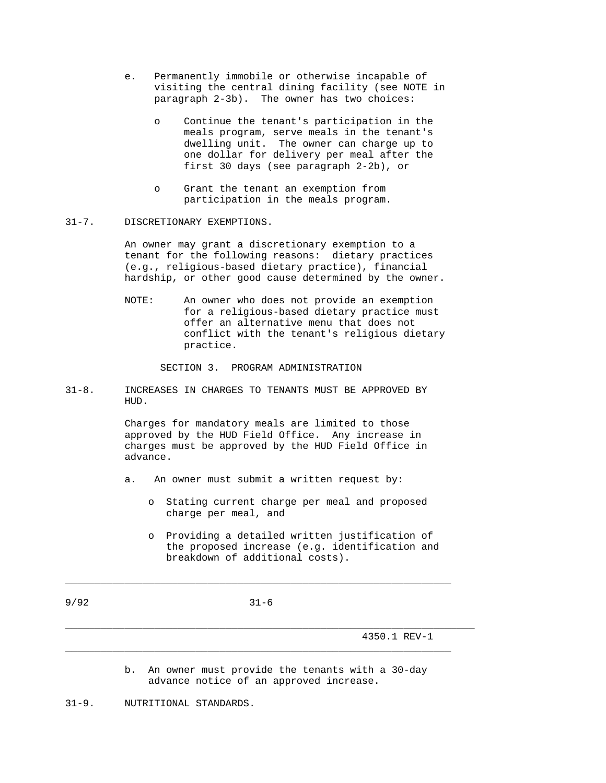- e. Permanently immobile or otherwise incapable of visiting the central dining facility (see NOTE in paragraph 2-3b). The owner has two choices:
	- o Continue the tenant's participation in the meals program, serve meals in the tenant's dwelling unit. The owner can charge up to one dollar for delivery per meal after the first 30 days (see paragraph 2-2b), or
	- o Grant the tenant an exemption from participation in the meals program.

## 31-7. DISCRETIONARY EXEMPTIONS.

 An owner may grant a discretionary exemption to a tenant for the following reasons: dietary practices (e.g., religious-based dietary practice), financial hardship, or other good cause determined by the owner.

 NOTE: An owner who does not provide an exemption for a religious-based dietary practice must offer an alternative menu that does not conflict with the tenant's religious dietary practice.

SECTION 3. PROGRAM ADMINISTRATION

31-8. INCREASES IN CHARGES TO TENANTS MUST BE APPROVED BY HUD.

> Charges for mandatory meals are limited to those approved by the HUD Field Office. Any increase in charges must be approved by the HUD Field Office in advance.

- a. An owner must submit a written request by:
	- o Stating current charge per meal and proposed charge per meal, and
	- o Providing a detailed written justification of the proposed increase (e.g. identification and breakdown of additional costs).

9/92 31-6

\_\_\_\_\_\_\_\_\_\_\_\_\_\_\_\_\_\_\_\_\_\_\_\_\_\_\_\_\_\_\_\_\_\_\_\_\_\_\_\_\_\_\_\_\_\_\_\_\_\_\_\_\_\_\_\_\_\_\_\_\_\_\_\_\_

\_\_\_\_\_\_\_\_\_\_\_\_\_\_\_\_\_\_\_\_\_\_\_\_\_\_\_\_\_\_\_\_\_\_\_\_\_\_\_\_\_\_\_\_\_\_\_\_\_\_\_\_\_\_\_\_\_\_\_\_\_\_\_\_\_

4350.1 REV-1

 b. An owner must provide the tenants with a 30-day advance notice of an approved increase.

\_\_\_\_\_\_\_\_\_\_\_\_\_\_\_\_\_\_\_\_\_\_\_\_\_\_\_\_\_\_\_\_\_\_\_\_\_\_\_\_\_\_\_\_\_\_\_\_\_\_\_\_\_\_\_\_\_\_\_\_\_\_\_\_\_\_\_\_\_

31-9. NUTRITIONAL STANDARDS.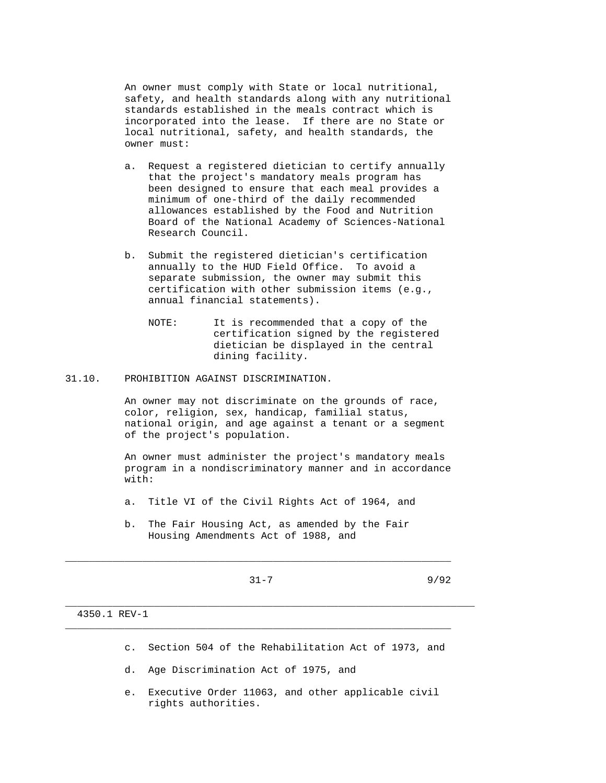An owner must comply with State or local nutritional, safety, and health standards along with any nutritional standards established in the meals contract which is incorporated into the lease. If there are no State or local nutritional, safety, and health standards, the owner must:

- a. Request a registered dietician to certify annually that the project's mandatory meals program has been designed to ensure that each meal provides a minimum of one-third of the daily recommended allowances established by the Food and Nutrition Board of the National Academy of Sciences-National Research Council.
- b. Submit the registered dietician's certification annually to the HUD Field Office. To avoid a separate submission, the owner may submit this certification with other submission items (e.g., annual financial statements).
	- NOTE: It is recommended that a copy of the certification signed by the registered dietician be displayed in the central dining facility.
- 31.10. PROHIBITION AGAINST DISCRIMINATION.

 An owner may not discriminate on the grounds of race, color, religion, sex, handicap, familial status, national origin, and age against a tenant or a segment of the project's population.

 An owner must administer the project's mandatory meals program in a nondiscriminatory manner and in accordance with:

- a. Title VI of the Civil Rights Act of 1964, and
- b. The Fair Housing Act, as amended by the Fair Housing Amendments Act of 1988, and

 $31-7$  9/92

\_\_\_\_\_\_\_\_\_\_\_\_\_\_\_\_\_\_\_\_\_\_\_\_\_\_\_\_\_\_\_\_\_\_\_\_\_\_\_\_\_\_\_\_\_\_\_\_\_\_\_\_\_\_\_\_\_\_\_\_\_\_\_\_\_

\_\_\_\_\_\_\_\_\_\_\_\_\_\_\_\_\_\_\_\_\_\_\_\_\_\_\_\_\_\_\_\_\_\_\_\_\_\_\_\_\_\_\_\_\_\_\_\_\_\_\_\_\_\_\_\_\_\_\_\_\_\_\_\_\_\_\_\_\_

\_\_\_\_\_\_\_\_\_\_\_\_\_\_\_\_\_\_\_\_\_\_\_\_\_\_\_\_\_\_\_\_\_\_\_\_\_\_\_\_\_\_\_\_\_\_\_\_\_\_\_\_\_\_\_\_\_\_\_\_\_\_\_\_\_

4350.1 REV-1

- c. Section 504 of the Rehabilitation Act of 1973, and
- d. Age Discrimination Act of 1975, and
- e. Executive Order 11063, and other applicable civil rights authorities.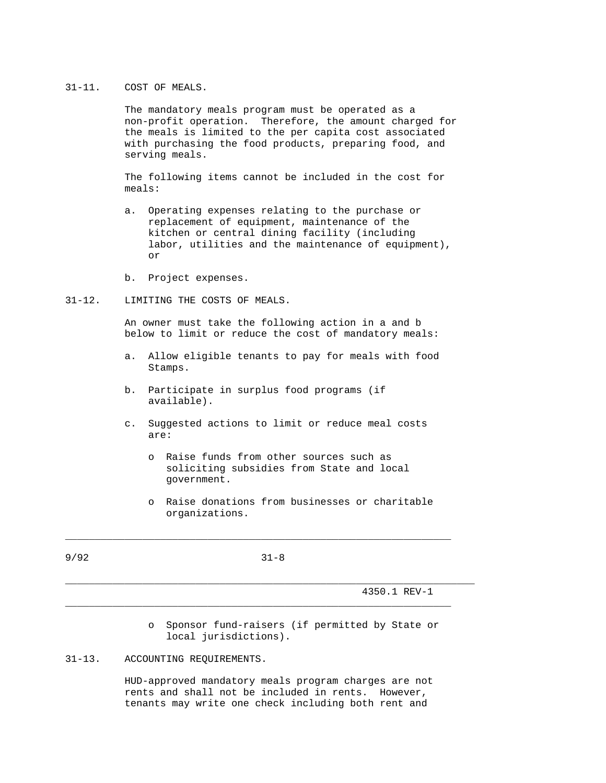# 31-11. COST OF MEALS.

 The mandatory meals program must be operated as a non-profit operation. Therefore, the amount charged for the meals is limited to the per capita cost associated with purchasing the food products, preparing food, and serving meals.

 The following items cannot be included in the cost for meals:

- a. Operating expenses relating to the purchase or replacement of equipment, maintenance of the kitchen or central dining facility (including labor, utilities and the maintenance of equipment), or
	- b. Project expenses.

## 31-12. LIMITING THE COSTS OF MEALS.

 An owner must take the following action in a and b below to limit or reduce the cost of mandatory meals:

- a. Allow eligible tenants to pay for meals with food Stamps.
- b. Participate in surplus food programs (if available).
- c. Suggested actions to limit or reduce meal costs are:
	- o Raise funds from other sources such as soliciting subsidies from State and local government.
	- o Raise donations from businesses or charitable organizations.

9/92 31-8

\_\_\_\_\_\_\_\_\_\_\_\_\_\_\_\_\_\_\_\_\_\_\_\_\_\_\_\_\_\_\_\_\_\_\_\_\_\_\_\_\_\_\_\_\_\_\_\_\_\_\_\_\_\_\_\_\_\_\_\_\_\_\_\_\_\_\_\_\_

\_\_\_\_\_\_\_\_\_\_\_\_\_\_\_\_\_\_\_\_\_\_\_\_\_\_\_\_\_\_\_\_\_\_\_\_\_\_\_\_\_\_\_\_\_\_\_\_\_\_\_\_\_\_\_\_\_\_\_\_\_\_\_\_\_

\_\_\_\_\_\_\_\_\_\_\_\_\_\_\_\_\_\_\_\_\_\_\_\_\_\_\_\_\_\_\_\_\_\_\_\_\_\_\_\_\_\_\_\_\_\_\_\_\_\_\_\_\_\_\_\_\_\_\_\_\_\_\_\_\_

4350.1 REV-1

 o Sponsor fund-raisers (if permitted by State or local jurisdictions).

# 31-13. ACCOUNTING REQUIREMENTS.

 HUD-approved mandatory meals program charges are not rents and shall not be included in rents. However, tenants may write one check including both rent and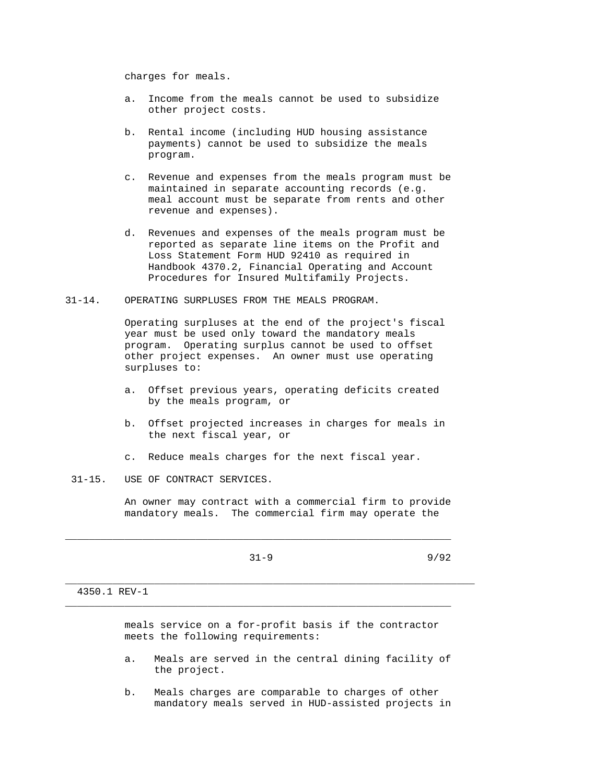charges for meals.

- a. Income from the meals cannot be used to subsidize other project costs.
- b. Rental income (including HUD housing assistance payments) cannot be used to subsidize the meals program.
- c. Revenue and expenses from the meals program must be maintained in separate accounting records (e.g. meal account must be separate from rents and other revenue and expenses).
- d. Revenues and expenses of the meals program must be reported as separate line items on the Profit and Loss Statement Form HUD 92410 as required in Handbook 4370.2, Financial Operating and Account Procedures for Insured Multifamily Projects.
- 31-14. OPERATING SURPLUSES FROM THE MEALS PROGRAM.

 Operating surpluses at the end of the project's fiscal year must be used only toward the mandatory meals program. Operating surplus cannot be used to offset other project expenses. An owner must use operating surpluses to:

- a. Offset previous years, operating deficits created by the meals program, or
- b. Offset projected increases in charges for meals in the next fiscal year, or
- c. Reduce meals charges for the next fiscal year.
- 31-15. USE OF CONTRACT SERVICES.

 An owner may contract with a commercial firm to provide mandatory meals. The commercial firm may operate the

\_\_\_\_\_\_\_\_\_\_\_\_\_\_\_\_\_\_\_\_\_\_\_\_\_\_\_\_\_\_\_\_\_\_\_\_\_\_\_\_\_\_\_\_\_\_\_\_\_\_\_\_\_\_\_\_\_\_\_\_\_\_\_\_\_

\_\_\_\_\_\_\_\_\_\_\_\_\_\_\_\_\_\_\_\_\_\_\_\_\_\_\_\_\_\_\_\_\_\_\_\_\_\_\_\_\_\_\_\_\_\_\_\_\_\_\_\_\_\_\_\_\_\_\_\_\_\_\_\_\_\_\_\_\_

\_\_\_\_\_\_\_\_\_\_\_\_\_\_\_\_\_\_\_\_\_\_\_\_\_\_\_\_\_\_\_\_\_\_\_\_\_\_\_\_\_\_\_\_\_\_\_\_\_\_\_\_\_\_\_\_\_\_\_\_\_\_\_\_\_

 $31-9$  9/92

### 4350.1 REV-1

 meals service on a for-profit basis if the contractor meets the following requirements:

- a. Meals are served in the central dining facility of the project.
- b. Meals charges are comparable to charges of other mandatory meals served in HUD-assisted projects in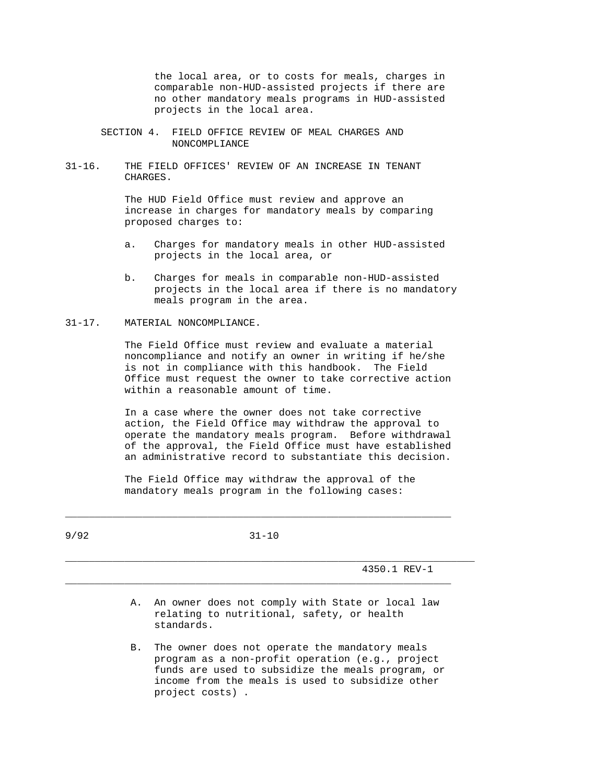the local area, or to costs for meals, charges in comparable non-HUD-assisted projects if there are no other mandatory meals programs in HUD-assisted projects in the local area.

- SECTION 4. FIELD OFFICE REVIEW OF MEAL CHARGES AND NONCOMPLIANCE
- 31-16. THE FIELD OFFICES' REVIEW OF AN INCREASE IN TENANT CHARGES.

 The HUD Field Office must review and approve an increase in charges for mandatory meals by comparing proposed charges to:

- a. Charges for mandatory meals in other HUD-assisted projects in the local area, or
- b. Charges for meals in comparable non-HUD-assisted projects in the local area if there is no mandatory meals program in the area.

#### 31-17. MATERIAL NONCOMPLIANCE.

 The Field Office must review and evaluate a material noncompliance and notify an owner in writing if he/she is not in compliance with this handbook. The Field Office must request the owner to take corrective action within a reasonable amount of time.

 In a case where the owner does not take corrective action, the Field Office may withdraw the approval to operate the mandatory meals program. Before withdrawal of the approval, the Field Office must have established an administrative record to substantiate this decision.

 The Field Office may withdraw the approval of the mandatory meals program in the following cases:

9/92 31-10

\_\_\_\_\_\_\_\_\_\_\_\_\_\_\_\_\_\_\_\_\_\_\_\_\_\_\_\_\_\_\_\_\_\_\_\_\_\_\_\_\_\_\_\_\_\_\_\_\_\_\_\_\_\_\_\_\_\_\_\_\_\_\_\_\_

\_\_\_\_\_\_\_\_\_\_\_\_\_\_\_\_\_\_\_\_\_\_\_\_\_\_\_\_\_\_\_\_\_\_\_\_\_\_\_\_\_\_\_\_\_\_\_\_\_\_\_\_\_\_\_\_\_\_\_\_\_\_\_\_\_\_\_\_\_

\_\_\_\_\_\_\_\_\_\_\_\_\_\_\_\_\_\_\_\_\_\_\_\_\_\_\_\_\_\_\_\_\_\_\_\_\_\_\_\_\_\_\_\_\_\_\_\_\_\_\_\_\_\_\_\_\_\_\_\_\_\_\_\_\_

4350.1 REV-1

- A. An owner does not comply with State or local law relating to nutritional, safety, or health standards.
- B. The owner does not operate the mandatory meals program as a non-profit operation (e.g., project funds are used to subsidize the meals program, or income from the meals is used to subsidize other project costs) .